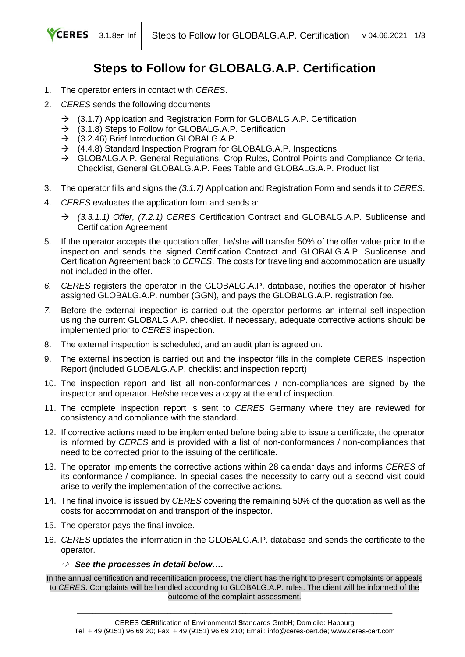

## **Steps to Follow for GLOBALG.A.P. Certification**

- 1. The operator enters in contact with *CERES*.
- 2. *CERES* sends the following documents
	- $\rightarrow$  (3.1.7) Application and Registration Form for GLOBALG.A.P. Certification
	- $\rightarrow$  (3.1.8) Steps to Follow for GLOBALG.A.P. Certification
	- $\rightarrow$  (3.2.46) Brief Introduction GLOBALG.A.P.
	- $\rightarrow$  (4.4.8) Standard Inspection Program for GLOBALG.A.P. Inspections
	- → GLOBALG.A.P. General Regulations, Crop Rules, Control Points and Compliance Criteria, Checklist, General GLOBALG.A.P. Fees Table and GLOBALG.A.P. Product list.
- 3. The operator fills and signs the *(3.1.7)* Application and Registration Form and sends it to *CERES*.
- 4. *CERES* evaluates the application form and sends a:
	- → *(3.3.1.1) Offer, (7.2.1) CERES* Certification Contract and GLOBALG.A.P. Sublicense and Certification Agreement
- 5. If the operator accepts the quotation offer, he/she will transfer 50% of the offer value prior to the inspection and sends the signed Certification Contract and GLOBALG.A.P. Sublicense and Certification Agreement back to *CERES*. The costs for travelling and accommodation are usually not included in the offer.
- *6. CERES* registers the operator in the GLOBALG.A.P. database, notifies the operator of his/her assigned GLOBALG.A.P. number (GGN), and pays the GLOBALG.A.P. registration fee*.*
- *7.* Before the external inspection is carried out the operator performs an internal self-inspection using the current GLOBALG.A.P. checklist. If necessary, adequate corrective actions should be implemented prior to *CERES* inspection.
- 8. The external inspection is scheduled, and an audit plan is agreed on.
- 9. The external inspection is carried out and the inspector fills in the complete CERES Inspection Report (included GLOBALG.A.P. checklist and inspection report)
- 10. The inspection report and list all non-conformances / non-compliances are signed by the inspector and operator. He/she receives a copy at the end of inspection.
- 11. The complete inspection report is sent to *CERES* Germany where they are reviewed for consistency and compliance with the standard.
- 12. If corrective actions need to be implemented before being able to issue a certificate, the operator is informed by *CERES* and is provided with a list of non-conformances / non-compliances that need to be corrected prior to the issuing of the certificate.
- 13. The operator implements the corrective actions within 28 calendar days and informs *CERES* of its conformance / compliance. In special cases the necessity to carry out a second visit could arise to verify the implementation of the corrective actions.
- 14. The final invoice is issued by *CERES* covering the remaining 50% of the quotation as well as the costs for accommodation and transport of the inspector.
- 15. The operator pays the final invoice.
- 16. *CERES* updates the information in the GLOBALG.A.P. database and sends the certificate to the operator.

## *See the processes in detail below….*

In the annual certification and recertification process, the client has the right to present complaints or appeals to *CERES*. Complaints will be handled according to GLOBALG.A.P. rules. The client will be informed of the outcome of the complaint assessment.

\_\_\_\_\_\_\_\_\_\_\_\_\_\_\_\_\_\_\_\_\_\_\_\_\_\_\_\_\_\_\_\_\_\_\_\_\_\_\_\_\_\_\_\_\_\_\_\_\_\_\_\_\_\_\_\_\_\_\_\_\_\_\_\_\_\_\_\_\_\_\_\_\_\_\_\_\_\_\_\_\_\_\_\_\_\_\_\_\_\_\_\_\_\_\_\_\_\_\_\_\_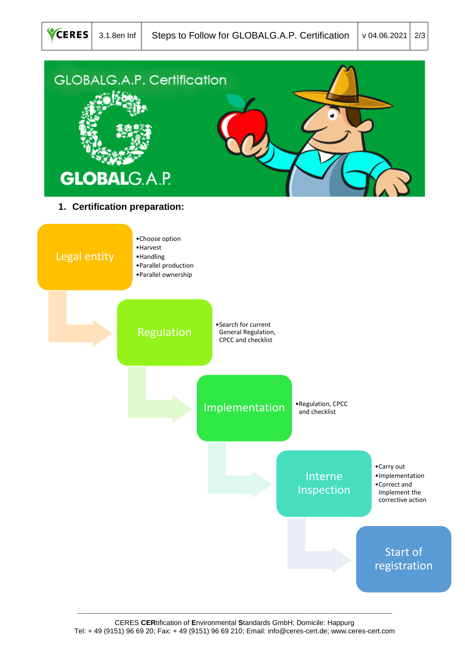

\_\_\_\_\_\_\_\_\_\_\_\_\_\_\_\_\_\_\_\_\_\_\_\_\_\_\_\_\_\_\_\_\_\_\_\_\_\_\_\_\_\_\_\_\_\_\_\_\_\_\_\_\_\_\_\_\_\_\_\_\_\_\_\_\_\_\_\_\_\_\_\_\_\_\_\_\_\_\_\_\_\_\_\_\_\_\_\_\_\_\_\_\_\_\_\_\_\_\_\_\_